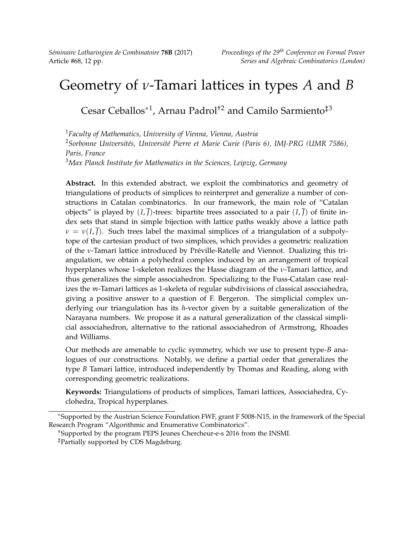# Geometry of *ν*-Tamari lattices in types *A* and *B*

Cesar Ceballos∗<sup>1</sup> , Arnau Padrol†2 and Camilo Sarmiento‡3

*Faculty of Mathematics, University of Vienna, Vienna, Austria Sorbonne Universités, Université Pierre et Marie Curie (Paris 6), IMJ-PRG (UMR 7586), Paris, France Max Planck Institute for Mathematics in the Sciences, Leipzig, Germany*

**Abstract.** In this extended abstract, we exploit the combinatorics and geometry of triangulations of products of simplices to reinterpret and generalize a number of constructions in Catalan combinatorics. In our framework, the main role of "Catalan objects" is played by  $(I, \overline{J})$ -trees: bipartite trees associated to a pair  $(I, \overline{J})$  of finite index sets that stand in simple bijection with lattice paths weakly above a lattice path  $\nu = \nu(I,\bar{J})$ . Such trees label the maximal simplices of a triangulation of a subpolytope of the cartesian product of two simplices, which provides a geometric realization of the *ν*-Tamari lattice introduced by Préville-Ratelle and Viennot. Dualizing this triangulation, we obtain a polyhedral complex induced by an arrangement of tropical hyperplanes whose 1-skeleton realizes the Hasse diagram of the *ν*-Tamari lattice, and thus generalizes the simple associahedron. Specializing to the Fuss-Catalan case realizes the *m*-Tamari lattices as 1-skeleta of regular subdivisions of classical associahedra, giving a positive answer to a question of F. Bergeron. The simplicial complex underlying our triangulation has its *h*-vector given by a suitable generalization of the Narayana numbers. We propose it as a natural generalization of the classical simplicial associahedron, alternative to the rational associahedron of Armstrong, Rhoades and Williams.

Our methods are amenable to cyclic symmetry, which we use to present type-*B* analogues of our constructions. Notably, we define a partial order that generalizes the type *B* Tamari lattice, introduced independently by Thomas and Reading, along with corresponding geometric realizations.

**Keywords:** Triangulations of products of simplices, Tamari lattices, Associahedra, Cyclohedra, Tropical hyperplanes.

†Supported by the program PEPS Jeunes Chercheur-e-s 2016 from the INSMI. ‡Partially supported by CDS Magdeburg.

<sup>∗</sup>Supported by the Austrian Science Foundation FWF, grant F 5008-N15, in the framework of the Special Research Program "Algorithmic and Enumerative Combinatorics".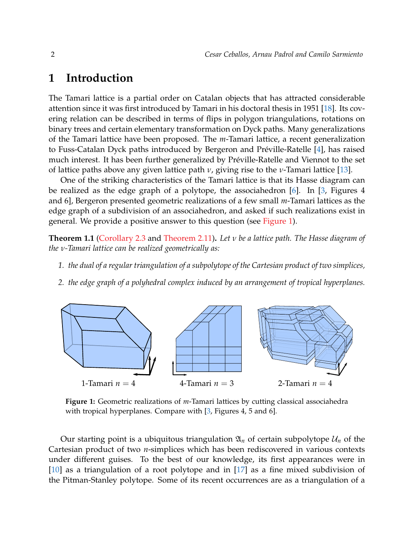# **1 Introduction**

The Tamari lattice is a partial order on Catalan objects that has attracted considerable attention since it was first introduced by Tamari in his doctoral thesis in 1951 [\[18\]](#page-11-0). Its covering relation can be described in terms of flips in polygon triangulations, rotations on binary trees and certain elementary transformation on Dyck paths. Many generalizations of the Tamari lattice have been proposed. The *m*-Tamari lattice, a recent generalization to Fuss-Catalan Dyck paths introduced by Bergeron and Préville-Ratelle [\[4\]](#page-11-1), has raised much interest. It has been further generalized by Préville-Ratelle and Viennot to the set of lattice paths above any given lattice path *ν*, giving rise to the *ν*-Tamari lattice [\[13\]](#page-11-2).

One of the striking characteristics of the Tamari lattice is that its Hasse diagram can be realized as the edge graph of a polytope, the associahedron [\[6\]](#page-11-3). In [\[3,](#page-11-4) Figures 4 and 6], Bergeron presented geometric realizations of a few small *m*-Tamari lattices as the edge graph of a subdivision of an associahedron, and asked if such realizations exist in general. We provide a positive answer to this question (see [Figure 1\)](#page-1-0).

<span id="page-1-1"></span>**Theorem 1.1** [\(Corollary 2.3](#page-4-0) and [Theorem 2.11\)](#page-7-0)**.** *Let ν be a lattice path. The Hasse diagram of the ν-Tamari lattice can be realized geometrically as:*

- *1. the dual of a regular triangulation of a subpolytope of the Cartesian product of two simplices,*
- *2. the edge graph of a polyhedral complex induced by an arrangement of tropical hyperplanes.*

<span id="page-1-0"></span>

**Figure 1:** Geometric realizations of *m*-Tamari lattices by cutting classical associahedra with tropical hyperplanes. Compare with [\[3,](#page-11-4) Figures 4, 5 and 6].

Our starting point is a ubiquitous triangulation  $\mathfrak{A}_n$  of certain subpolytope  $\mathcal{U}_n$  of the Cartesian product of two *n*-simplices which has been rediscovered in various contexts under different guises. To the best of our knowledge, its first appearances were in [\[10\]](#page-11-5) as a triangulation of a root polytope and in [\[17\]](#page-11-6) as a fine mixed subdivision of the Pitman-Stanley polytope. Some of its recent occurrences are as a triangulation of a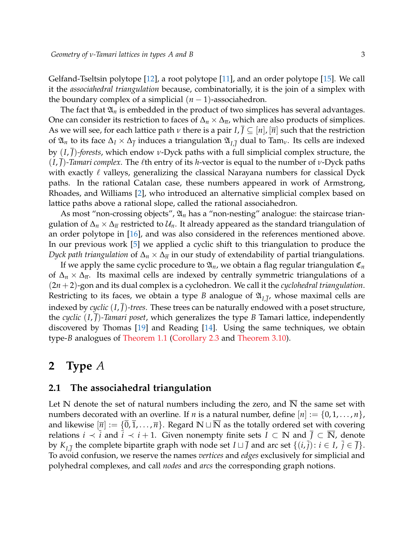Gelfand-Tseltsin polytope [\[12\]](#page-11-7), a root polytope [\[11\]](#page-11-8), and an order polytope [\[15\]](#page-11-9). We call it the *associahedral triangulation* because, combinatorially, it is the join of a simplex with the boundary complex of a simplicial  $(n-1)$ -associahedron.

The fact that  $\mathfrak{A}_n$  is embedded in the product of two simplices has several advantages. One can consider its restriction to faces of  $\Delta_n \times \Delta_{\overline{n}}$ , which are also products of simplices. As we will see, for each lattice path *ν* there is a pair *I*, *J* ⊆ [*n*], [*n*] such that the restriction of  $\mathfrak{A}_n$  to its face  $\Delta_I \times \Delta_{\overline{f}}$  induces a triangulation  $\mathfrak{A}_{I,\overline{J}}$  dual to Tam<sub>*v*</sub>. Its cells are indexed by (*I*, *J*)*-forests*, which endow *ν*-Dyck paths with a full simplicial complex structure, the *(I, J)*-*Tamari complex*. The *l*<sup>th</sup> entry of its *h*-vector is equal to the number of *ν*-Dyck paths with exactly  $\ell$  valleys, generalizing the classical Narayana numbers for classical Dyck paths. In the rational Catalan case, these numbers appeared in work of Armstrong, Rhoades, and Williams [\[2\]](#page-11-10), who introduced an alternative simplicial complex based on lattice paths above a rational slope, called the rational associahedron.

As most "non-crossing objects",  $\mathfrak{A}_n$  has a "non-nesting" analogue: the staircase triangulation of  $\Delta_n \times \Delta_{\overline{n}}$  restricted to  $\mathcal{U}_n$ . It already appeared as the standard triangulation of an order polytope in [\[16\]](#page-11-11), and was also considered in the references mentioned above. In our previous work [\[5\]](#page-11-12) we applied a cyclic shift to this triangulation to produce the *Dyck path triangulation* of Δ<sub>*n*</sub> × Δ<sub>*π*</sub> in our study of extendability of partial triangulations.

If we apply the same cyclic procedure to  $\mathfrak{A}_n$ , we obtain a flag regular triangulation  $\mathfrak{C}_n$ of ∆*<sup>n</sup>* × ∆*n*. Its maximal cells are indexed by centrally symmetric triangulations of a (2*n* +2)-gon and its dual complex is a cyclohedron. We call it the *cyclohedral triangulation*. Restricting to its faces, we obtain a type *B* analogue of  $\mathfrak{A}_{I,\overline{J}'}$  whose maximal cells are indexed by *cyclic*  $(I, \overline{J})$ -trees. These trees can be naturally endowed with a poset structure, the *cyclic* (*I*, *J*)*-Tamari poset*, which generalizes the type *B* Tamari lattice, independently discovered by Thomas [\[19\]](#page-11-13) and Reading [\[14\]](#page-11-14). Using the same techniques, we obtain type-*B* analogues of [Theorem 1.1](#page-1-1) [\(Corollary 2.3](#page-4-0) and [Theorem 3.10\)](#page-9-0).

### **2 Type** *A*

#### <span id="page-2-0"></span>**2.1 The associahedral triangulation**

Let N denote the set of natural numbers including the zero, and  $\overline{N}$  the same set with numbers decorated with an overline. If *n* is a natural number, define  $[n] := \{0, 1, \ldots, n\}$ , and likewise  $[\overline{n}] := \{0, 1, \ldots, \overline{n}\}.$  Regard  $\mathbb{N} \sqcup \mathbb{N}$  as the totally ordered set with covering relations *i*  $\prec \overline{i}$  and  $\overline{i} \prec i+1$ . Given nonempty finite sets  $I \subset \mathbb{N}$  and  $\overline{J} \subset \overline{\mathbb{N}}$ , denote by  $K_{I,\overline{J}}$  the complete bipartite graph with node set  $I \sqcup \overline{J}$  and arc set  $\{(i,\overline{j}) : i \in I, \overline{j} \in \overline{J}\}$ . To avoid confusion, we reserve the names *vertices* and *edges* exclusively for simplicial and polyhedral complexes, and call *nodes* and *arcs* the corresponding graph notions.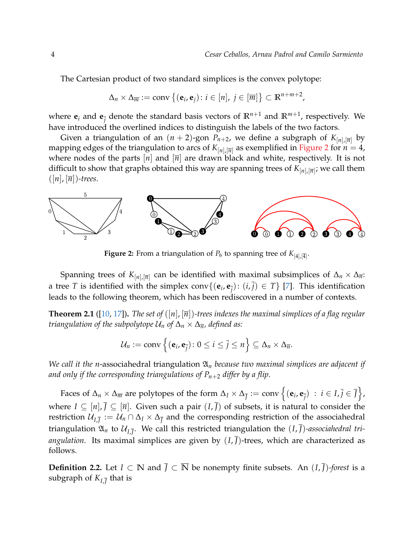The Cartesian product of two standard simplices is the convex polytope:

$$
\Delta_n \times \Delta_{\overline{m}} := \text{conv}\left\{(\mathbf{e}_i, \mathbf{e}_j) : i \in [n], j \in [\overline{m}]\right\} \subset \mathbb{R}^{n+m+2},
$$

where  $\mathbf{e}_i$  and  $\mathbf{e}_{\overline{j}}$  denote the standard basis vectors of  $\mathbb{R}^{n+1}$  and  $\mathbb{R}^{m+1}$ , respectively. We have introduced the overlined indices to distinguish the labels of the two factors.

Given a triangulation of an  $(n + 2)$ -gon  $P_{n+2}$ , we define a subgraph of  $K_{[n],[\overline{n}]}$  by mapping edges of the triangulation to arcs of  $K_{[n],[\overline{n}]}$  as exemplified in [Figure 2](#page-3-0) for  $n=4$ , where nodes of the parts  $[n]$  and  $[\overline{n}]$  are drawn black and white, respectively. It is not difficult to show that graphs obtained this way are spanning trees of *K*[*n*],[*n*] ; we call them  $([n], [\overline{n}])$ -trees.

<span id="page-3-0"></span>

**Figure 2:** From a triangulation of  $P_6$  to spanning tree of  $K_{[4],[\overline{4}]}.$ 

Spanning trees of  $K_{[n],[\overline{n}]}$  can be identified with maximal subsimplices of  $\Delta_n \times \Delta_{\overline{n}}$ : a tree *T* is identified with the simplex conv $\{(\mathbf{e}_i, \mathbf{e}_{\overline{j}}) : (i, \overline{j}) \in T\}$  [\[7\]](#page-11-15). This identification leads to the following theorem, which has been rediscovered in a number of contexts.

<span id="page-3-1"></span>**Theorem 2.1** ([\[10,](#page-11-5) [17\]](#page-11-6)). *The set of* ([n], [ $\overline{n}$ ])-trees indexes the maximal simplices of a flag regular *triangulation of the subpolytope*  $U_n$  *of*  $\Delta_n \times \Delta_{\overline{n}}$ *, defined as:* 

$$
\mathcal{U}_n := \text{conv}\left\{(\mathbf{e}_i, \mathbf{e}_{\overline{j}}): 0 \leq i \leq \overline{j} \leq n\right\} \subseteq \Delta_n \times \Delta_{\overline{n}}.
$$

*We call it the n*-associahedral triangulation  $\mathfrak{A}_n$  *because two maximal simplices are adjacent if and only if the corresponding triangulations of Pn*+<sup>2</sup> *differ by a flip.*

 $\text{Faces of } \Delta_n \times \Delta_{\overline{m}} \text{ are polytopes of the form } \Delta_I \times \Delta_{\overline{f}} := \text{conv}\left\{(\mathbf{e}_i, \mathbf{e}_{\overline{j}}) \ : \ i \in I, \overline{j} \in \overline{f}\right\},$ where  $I \subseteq [n], \overline{J} \subseteq [\overline{n}]$ . Given such a pair  $(I, \overline{J})$  of subsets, it is natural to consider the restriction  $\mathcal{U}_{I,\overline{J}}:=\mathcal{U}_n\cap\Delta_I\times\Delta_{\overline{J}}$  and the corresponding restriction of the associahedral triangulation  $\mathfrak{A}_n$  to  $\mathcal{U}_{I,\overline{J}}.$  We call this restricted triangulation the  $(I,\overline{J})$ *-associahedral triangulation*. Its maximal simplices are given by  $(I, \overline{J})$ -trees, which are characterized as follows.

**Definition 2.2.** Let *I* ⊂ **N** and  $\overline{J}$  ⊂  $\overline{N}$  be nonempty finite subsets. An  $(I, \overline{J})$ *-forest* is a subgraph of  $K_{I,\overline{J}}$  that is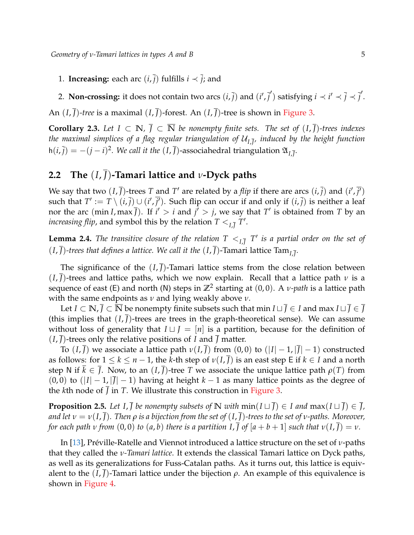- 1. **Increasing:** each arc  $(i, \overline{j})$  fulfills  $i \prec \overline{j}$ ; and
- 2. **Non-crossing:** it does not contain two arcs  $(i, \overline{j})$  and  $(i', \overline{j}')$  satisfying  $i \prec i' \prec \overline{j} \prec \overline{j}'.$

An  $(I, \overline{I})$ -tree is a maximal  $(I, \overline{I})$ -forest. An  $(I, \overline{I})$ -tree is shown in [Figure 3.](#page-5-0)

<span id="page-4-0"></span>**Corollary 2.3.** *Let I* ⊂ **N***,*  $\bar{J}$  ⊂  $\bar{N}$  *be nonempty finite sets. The set of*  $(I, \bar{J})$ *-trees indexes the maximal simplices of a flag regular triangulation of* U*I*,*<sup>J</sup> , induced by the height function*  $h(i,\bar{j}) = -(j-i)^2$ . We call it the  $(I,\bar{J})$ -associahedral triangulation  $\mathfrak{A}_{I,\bar{J}}$ .

# <span id="page-4-1"></span>**2.2 The** (*I*, *J*)**-Tamari lattice and** *ν***-Dyck paths**

We say that two  $(I,\bar{J})$ -trees T and T' are related by a *flip* if there are arcs  $(i,\bar{j})$  and  $(i',\bar{j'})$ such that  $T' := T \setminus (i, \bar{j}) \cup (i', \bar{j'})$ . Such flip can occur if and only if  $(i, \bar{j})$  is neither a leaf nor the arc (min *I*, max  $\overline{J}$ ). If  $i' > i$  and  $j' > j$ , we say that  $T'$  is obtained from  $T$  by an *increasing flip,* and symbol this by the relation  $T <_{I,\overline{J}} T'$ .

**Lemma 2.4.** *The transitive closure of the relation*  $T \lt_{I,\overline{J}} T'$  *is a partial order on the set of*  $(I, \overline{J})$ -trees that defines a lattice. We call it the  $(I, \overline{J})$ -Tamari lattice Tam<sub>I, $\overline{J}$ .</sub>

The significance of the  $(I,\bar{I})$ -Tamari lattice stems from the close relation between (*I*, *J*)-trees and lattice paths, which we now explain. Recall that a lattice path *ν* is a sequence of east (E) and north (N) steps in **Z**<sup>2</sup> starting at (0, 0). A *ν-path* is a lattice path with the same endpoints as *ν* and lying weakly above *ν*.

Let  $I \subset \mathbb{N}, \overline{J} \subset \overline{\mathbb{N}}$  be nonempty finite subsets such that min  $I \sqcup \overline{J} \in I$  and max  $I \sqcup \overline{J} \in \overline{J}$ (this implies that  $(I, \overline{I})$ -trees are trees in the graph-theoretical sense). We can assume without loss of generality that  $I \sqcup J = [n]$  is a partition, because for the definition of  $(I, \overline{I})$ -trees only the relative positions of *I* and  $\overline{I}$  matter.

To  $(I,\overline{J})$  we associate a lattice path  $\nu(I,\overline{J})$  from  $(0,0)$  to  $(|I|-1,|\overline{J}|-1)$  constructed as follows: for  $1 \leq k \leq n-1$ , the *k*-th step of  $\nu(I, J)$  is an east step E if  $k \in I$  and a north step N if  $k \in J$ . Now, to an  $(I, J)$ -tree *T* we associate the unique lattice path  $\rho(T)$  from  $(0, 0)$  to  $(|I| - 1, |J| - 1)$  having at height  $k - 1$  as many lattice points as the degree of the *k*th node of  $\overline{J}$  in *T*. We illustrate this construction in [Figure 3.](#page-5-0)

**Proposition 2.5.** *Let I*,  $\overline{J}$  *be nonempty subsets of*  $\mathbb{N}$  *with*  $\min(I \sqcup \overline{J}) \in I$  *and*  $\max(I \sqcup \overline{J}) \in \overline{J}$ *, and let*  $v = v(I, \overline{J})$ *. Then*  $\rho$  *is a bijection from the set of*  $(I, \overline{J})$ *-trees to the set of v-paths. Moreover, for each path v from*  $(0,0)$  *to*  $(a,b)$  *there is a partition* I, J *of*  $[a+b+1]$  *such that*  $v(I, J) = v$ .

In [\[13\]](#page-11-2), Préville-Ratelle and Viennot introduced a lattice structure on the set of *ν*-paths that they called the *ν-Tamari lattice*. It extends the classical Tamari lattice on Dyck paths, as well as its generalizations for Fuss-Catalan paths. As it turns out, this lattice is equivalent to the  $(I, J)$ -Tamari lattice under the bijection  $\rho$ . An example of this equivalence is shown in [Figure 4.](#page-5-1)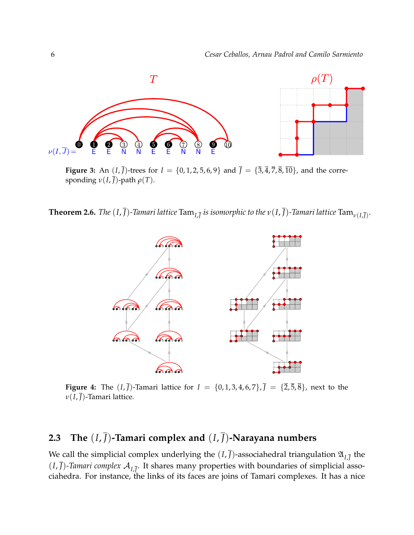<span id="page-5-0"></span>

**Figure 3:** An  $(I, \bar{J})$ -trees for  $I = \{0, 1, 2, 5, 6, 9\}$  and  $\bar{J} = \{\bar{3}, \bar{4}, \bar{7}, \bar{8}, \bar{10}\}$ , and the corresponding  $\nu(I,\overline{J})$ -path  $\rho(T)$ .

<span id="page-5-1"></span>**Theorem 2.6.** The  $(I, \overline{J})$ -Tamari lattice  $\text{Tam}_{I, \overline{J}}$  is isomorphic to the  $v(I, \overline{J})$ -Tamari lattice  $\text{Tam}_{v(I, \overline{J})}.$ 



**Figure 4:** The  $(I, \bar{J})$ -Tamari lattice for  $I = \{0, 1, 3, 4, 6, 7\}$ ,  $\bar{J} = \{\bar{2}, \bar{5}, \bar{8}\}$ , next to the *ν*(*I*, *J*)-Tamari lattice.

## **2.3** The  $(I, \overline{J})$ -Tamari complex and  $(I, \overline{J})$ -Narayana numbers

We call the simplicial complex underlying the  $(I,\overline{J})$ -associahedral triangulation  $\mathfrak{A}_{I,\overline{J}}$  the  $(I,\overline{J})$ -*Tamari complex*  $\mathcal{A}_{I,\overline{J}}$ . It shares many properties with boundaries of simplicial associahedra. For instance, the links of its faces are joins of Tamari complexes. It has a nice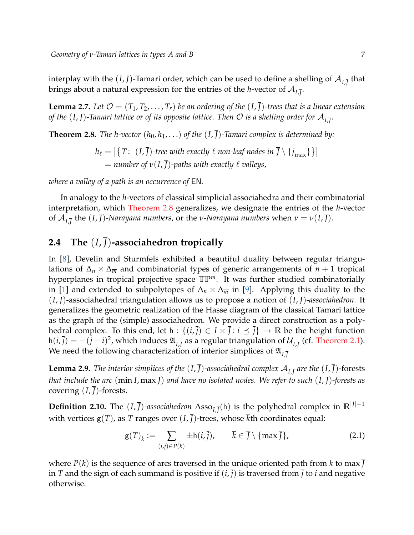interplay with the  $(I,\overline{J})$ -Tamari order, which can be used to define a shelling of  $\mathcal{A}_{I,\overline{J}}$  that brings about a natural expression for the entries of the *h*-vector of  $\mathcal{A}_{I,\overline{J}}.$ 

**Lemma 2.7.** Let  $\mathcal{O} = (T_1, T_2, \ldots, T_r)$  be an ordering of the  $(I, \overline{J})$ -trees that is a linear extension *of the*  $(I, \overline{J})$ *-Tamari lattice or of its opposite lattice. Then*  ${\cal O}$  *is a shelling order for*  ${\cal A}_{I,\overline{J}}.$ 

<span id="page-6-0"></span>**Theorem 2.8.** *The h-vector*  $(h_0, h_1, ...)$  *of the*  $(I, \overline{J})$ *-Tamari complex is determined by:* 

 $h_{\ell} = \big|\big\{T\colon~(I,\overline{J})\text{-}$ tree with exactly  $\ell$  non-leaf nodes in  $\overline{J}\setminus\{\overline{j}_{\max}\}\big\}\big|$  $=$  *number of*  $v(I, \overline{J})$ *-paths with exactly*  $\ell$  *valleys*,

*where a valley of a path is an occurrence of* EN*.*

In analogy to the *h*-vectors of classical simplicial associahedra and their combinatorial interpretation, which [Theorem 2.8](#page-6-0) generalizes, we designate the entries of the *h*-vector of A*I*,*<sup>J</sup>* the (*I*, *J*)*-Narayana numbers*, or the *ν-Narayana numbers* when *ν* = *ν*(*I*, *J*).

#### <span id="page-6-1"></span>**2.4** The  $(I, \bar{J})$ -associahedron tropically

In [\[8\]](#page-11-16), Develin and Sturmfels exhibited a beautiful duality between regular triangulations of ∆*<sup>n</sup>* × ∆*<sup>m</sup>* and combinatorial types of generic arrangements of *n* + 1 tropical hyperplanes in tropical projective space **TP***m*. It was further studied combinatorially in [\[1\]](#page-10-0) and extended to subpolytopes of  $\Delta_n \times \Delta_{\overline{m}}$  in [\[9\]](#page-11-17). Applying this duality to the (*I*, *J*)-associahedral triangulation allows us to propose a notion of (*I*, *J*)*-associahedron*. It generalizes the geometric realization of the Hasse diagram of the classical Tamari lattice as the graph of the (simple) associahedron. We provide a direct construction as a polyhedral complex. To this end, let h :  $\{(i,\overline{j}) \in I \times \overline{J} : i \leq \overline{j}\} \to \mathbb{R}$  be the height function  $h(i,\bar j) = -(j-i)^2$ , which induces  $\mathfrak{A}_{I,\bar J}$  as a regular triangulation of  $\mathcal{U}_{I,\bar J}$  (cf. [Theorem 2.1\)](#page-3-1). We need the following characterization of interior simplices of  $\mathfrak{A}_{L\bar{J}}$ 

**Lemma 2.9.** The interior simplices of the  $(I, \overline{J})$ -associahedral complex  $\mathcal{A}_{I,\overline{J}}$  are the  $(I, \overline{J})$ -forests *that include the arc* (min *I*, max  $\overline{I}$ ) *and have no isolated nodes. We refer to such*  $(I, \overline{I})$ *-forests as* covering  $(I, \overline{I})$ -forests.

**Definition 2.10.** The  $(I, \overline{J})$ -associahedron Asso $_{I, \overline{J}}(h)$  is the polyhedral complex in  $\mathbb{R}^{|J|-1}$ with vertices  $g(T)$ , as *T* ranges over  $(I, \overline{J})$ -trees, whose  $\overline{k}$ th coordinates equal:

<span id="page-6-2"></span>
$$
\mathsf{g}(T)_{\overline{k}} := \sum_{(i,\overline{j}) \in P(\overline{k})} \pm \mathsf{h}(i,\overline{j}), \qquad \overline{k} \in \overline{J} \setminus \{\max \overline{J}\},\tag{2.1}
$$

where  $P(\overline{k})$  is the sequence of arcs traversed in the unique oriented path from  $\overline{k}$  to max  $\overline{J}$ in *T* and the sign of each summand is positive if  $(i, \overline{j})$  is traversed from  $\overline{j}$  to *i* and negative otherwise.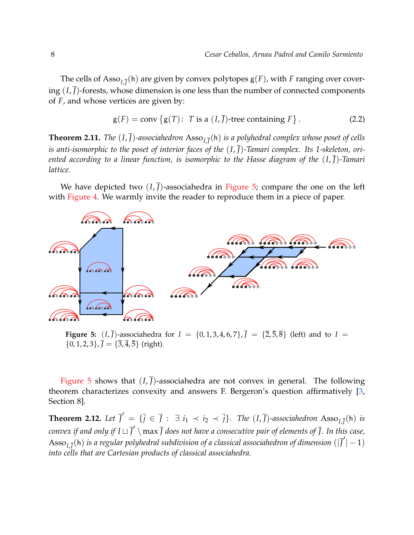The cells of  $\mathrm{Assoc}_{I,\overline{J}}(\mathsf{h})$  are given by convex polytopes  $\mathsf{g}(F)$ , with  $F$  ranging over covering  $(I,\overline{J})$ -forests, whose dimension is one less than the number of connected components of *F*, and whose vertices are given by:

<span id="page-7-2"></span>
$$
g(F) = conv\{g(T): T \text{ is a } (I, \overline{J}) \text{-tree containing } F\}. \tag{2.2}
$$

<span id="page-7-0"></span>**Theorem 2.11.** *The*  $(I, \overline{J})$ -associahedron  $\text{Asso}_{I, \overline{J}}(h)$  is a polyhedral complex whose poset of cells is anti-isomorphic to the poset of interior faces of the  $(I,\overline{I})$ -Tamari complex. Its 1-skeleton, ori*ented according to a linear function, is isomorphic to the Hasse diagram of the* (*I*, *J*)*-Tamari lattice.*

We have depicted two  $(I, J)$ -associahedra in [Figure 5;](#page-7-1) compare the one on the left with [Figure 4.](#page-5-1) We warmly invite the reader to reproduce them in a piece of paper.

<span id="page-7-1"></span>

**Figure 5:** (*I*,  $\bar{J}$ )-associahedra for  $I = \{0, 1, 3, 4, 6, 7\}$ ,  $\bar{J} = \{\bar{2}, \bar{5}, \bar{8}\}$  (left) and to  $I =$  $\{0, 1, 2, 3\}, \bar{J} = \{\bar{3}, \bar{4}, \bar{5}\}$  (right).

[Figure 5](#page-7-1) shows that  $(I, \overline{J})$ -associahedra are not convex in general. The following theorem characterizes convexity and answers F. Bergeron's question affirmatively [\[3,](#page-11-4) Section 8].

**Theorem 2.12.** Let  $\overline{J}' = \{\overline{j} \in \overline{J} : \exists i_1 \prec i_2 \prec \overline{j}\}$ . The  $(I, \overline{J})$ -associahedron  $\text{Asso}_{I, \overline{J}}(h)$  is convex if and only if  $I\sqcup\overline{J}'\setminus\max\overline{J}$  does not have a consecutive pair of elements of  $\overline{J}.$  In this case,  $\mathrm{Assoc}_{I,\overline{J}}(\mathsf{h})$  *is a regular polyhedral subdivision of a classical associahedron of dimension*  $(|\overline{J}'|-1)$ *into cells that are Cartesian products of classical associahedra.*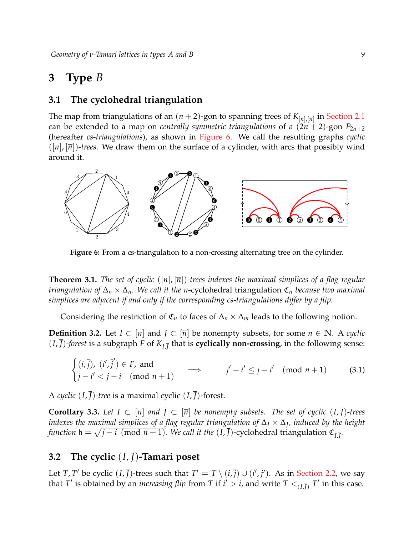# **3 Type** *B*

#### **3.1 The cyclohedral triangulation**

The map from triangulations of an  $(n+2)$ -gon to spanning trees of  $K_{[n],[\overline{n}]}$  in [Section 2.1](#page-2-0) can be extended to a map on *centrally symmetric triangulations* of a  $(2n + 2)$ -gon  $P_{2n+2}$ (hereafter *cs-triangulations*), as shown in [Figure 6.](#page-8-0) We call the resulting graphs *cyclic*  $([n], [\overline{n}])$ -trees. We draw them on the surface of a cylinder, with arcs that possibly wind around it.

<span id="page-8-0"></span>

**Figure 6:** From a cs-triangulation to a non-crossing alternating tree on the cylinder.

**Theorem 3.1.** *The set of cyclic* ([n], [ $\overline{n}$ ])-trees indexes the maximal simplices of a flag regular *triangulation of* ∆*<sup>n</sup>* × ∆*n. We call it the n*-cyclohedral triangulation C*<sup>n</sup> because two maximal simplices are adjacent if and only if the corresponding cs-triangulations differ by a flip.*

Considering the restriction of  $\mathfrak{C}_n$  to faces of  $\Delta_n \times \Delta_{\overline{n}}$  leads to the following notion.

**Definition 3.2.** Let *I* ⊂  $[n]$  and *J* ⊂  $[\overline{n}]$  be nonempty subsets, for some *n* ∈ **N**. A *cyclic*  $(I, \overline{J})$ -forest is a subgraph *F* of  $K_{I, \overline{J}}$  that is **cyclically non-crossing**, in the following sense:

$$
\begin{cases}\n(i,\overline{j}), (i',\overline{j}') \in F, \text{ and} \\
j - i' < j - i \pmod{n+1}\n\end{cases} \implies j' - i' \leq j - i' \pmod{n+1} \tag{3.1}
$$

A *cyclic* (*I*, *J*)*-tree* is a maximal cyclic (*I*, *J*)-forest.

**Corollary 3.3.** Let  $I \subset [n]$  and  $\overline{J} \subset [\overline{n}]$  be nonempty subsets. The set of cyclic  $(I, \overline{I})$ -trees *indexes the maximal simplices of a flag regular triangulation of* ∆*<sup>I</sup>* × ∆*<sup>J</sup> , induced by the height function*  $h = \sqrt{j - i \pmod{n + 1}}$ *. We call it the*  $(I, \overline{J})$ -cyclohedral triangulation  $\mathfrak{C}_{I, \overline{J}}$ *.* 

#### **3.2** The cyclic  $(I,\overline{I})$ -Tamari poset

Let *T*, *T'* be cyclic  $(I, \overline{J})$ -trees such that  $T' = T \setminus (i, \overline{j}) \cup (i', \overline{j'})$ . As in [Section 2.2,](#page-4-1) we say that  $T'$  is obtained by an *increasing flip* from  $T$  if  $i' > i$ , and write  $T <_{(I,\overline{J})} T'$  in this case.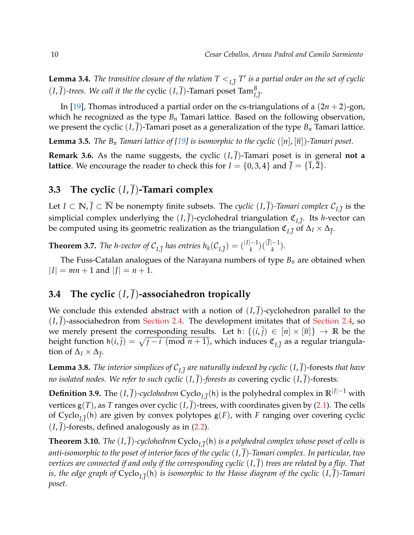**Lemma 3.4.** *The transitive closure of the relation*  $T <_{I,\overline{J}} T'$  *is a partial order on the set of cyclic*  $(I, \overline{J})$ -trees. We call it the the cyclic  $(I, \overline{J})$ -Tamari poset Tam $_{I, \overline{J}}^B$ .

In [\[19\]](#page-11-13), Thomas introduced a partial order on the cs-triangulations of a (2*n* + 2)-gon, which he recognized as the type *B<sup>n</sup>* Tamari lattice. Based on the following observation, we present the cyclic  $(I, \overline{J})$ -Tamari poset as a generalization of the type  $B_n$  Tamari lattice.

**Lemma 3.5.** *The B<sub>n</sub> Tamari lattice of [\[19\]](#page-11-13) is isomorphic to the cyclic*  $(|n|, |\overline{n}|)$ *-Tamari poset.* 

**Remark 3.6.** As the name suggests, the cyclic  $(I, \overline{J})$ -Tamari poset is in general **not a lattice**. We encourage the reader to check this for  $I = \{0, 3, 4\}$  and  $\overline{I} = \{\overline{1}, \overline{2}\}.$ 

#### **3.3** The cyclic  $(I,\overline{I})$ -Tamari complex

Let  $I \subset \mathbb{N}$ ,  $\overline{J} \subset \overline{\mathbb{N}}$  be nonempty finite subsets. The *cyclic*  $(I, \overline{J})$ -*Tamari complex*  $\mathcal{C}_{I, \overline{J}}$  is the simplicial complex underlying the  $(I, \overline{J})$ -cyclohedral triangulation  $\mathfrak{C}_{I, \overline{J}}$ . Its *h*-vector can be computed using its geometric realization as the triangulation  $\mathfrak{C}_{I,\overline{J}}$  of  $\Delta_I \times \Delta_{\overline{J}}$ .

**Theorem 3.7.** *The h-vector of*  $C_{I,\overline{J}}$  *has entries*  $h_k(C_{I,\overline{J}}) = \binom{|I|-1}{k}$  ${k}^{-1}$ )( $|{\bar{J}}|-1$ <sub>*k*</sub>).

The Fuss-Catalan analogues of the Narayana numbers of type *B<sup>n</sup>* are obtained when  $|I| = mn + 1$  and  $|J| = n + 1$ .

#### **3.4** The cyclic  $(I, \overline{I})$ -associahedron tropically

We conclude this extended abstract with a notion of  $(I, \overline{J})$ -cyclohedron parallel to the (*I*, *J*)-associahedron from [Section 2.4.](#page-6-1) The development imitates that of [Section 2.4,](#page-6-1) so we merely present the corresponding results. Let h:  $\{(i,j) \in [n] \times [\overline{n}]\} \rightarrow \mathbb{R}$  be the height function h $(i, \bar{j}) = \sqrt{j - i \pmod{n + 1}}$ , which induces  $\mathfrak{C}_{I, \bar{J}}$  as a regular triangulation of  $\Delta_I \times \Delta_{\bar{J}}$ .

**Lemma 3.8.** *The interior simplices of*  $\mathcal{C}_{I,\overline{J}}$  *are naturally indexed by cyclic*  $(I,\overline{J})$ *-forests that have no isolated nodes. We refer to such cyclic*  $(I, \overline{J})$ *-forests as covering cyclic*  $(I, \overline{J})$ *-forests.* 

**Definition 3.9.** The (*I*, *J*)*-cyclohedron* Cyclo*I*,*<sup>J</sup>* (h) is the polyhedral complex in **R**|*J*|−<sup>1</sup> with vertices  $g(T)$ , as *T* ranges over cyclic  $(I, \overline{J})$ -trees, with coordinates given by [\(2.1\)](#page-6-2). The cells of Cyclo*I*,*<sup>J</sup>* (h) are given by convex polytopes g(*F*), with *F* ranging over covering cyclic  $(I, \overline{I})$ -forests, defined analogously as in  $(2.2)$ .

<span id="page-9-0"></span> ${\bf Theorem~3.10}.$   $The~(I,\overline{J})$ -cyclohedron  ${\rm Cyclo}_{I,\overline{J}}({\sf h})$  is a polyhedral complex whose poset of cells is *anti-isomorphic to the poset of interior faces of the cyclic* (*I*, *J*)*-Tamari complex. In particular, two vertices are connected if and only if the corresponding cyclic* (*I*, *J*) *trees are related by a flip. That is, the edge graph of* Cyclo*I*,*<sup>J</sup>* (h) *is isomorphic to the Hasse diagram of the cyclic* (*I*, *J*)*-Tamari poset.*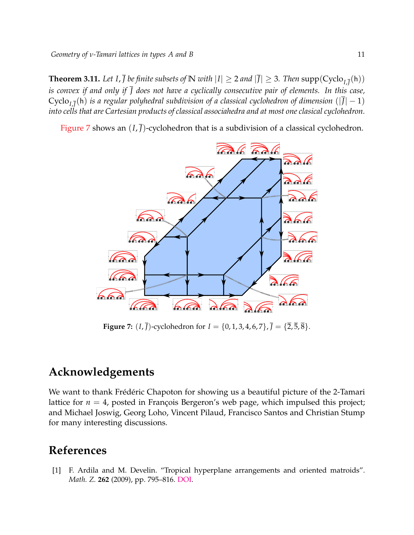**Theorem 3.11.** Let  $I$ ,  $\overline{J}$  be finite subsets of  $\mathbb N$  with  $|I|\geq 2$  and  $|\overline{J}|\geq 3$ . Then  $\text{supp}(\text{Cyclo}_{I,\overline{J}}(\mathsf{h}))$ *is convex if and only if J does not have a cyclically consecutive pair of elements. In this case,*  $Cyclo_{I,\overline{J}}(\mathsf{h})$  *is a regular polyhedral subdivision of a classical cyclohedron of dimension*  $(|\overline{J}|-1)$ *into cells that are Cartesian products of classical associahedra and at most one clasical cyclohedron.*

<span id="page-10-1"></span>[Figure 7](#page-10-1) shows an  $(I, \overline{J})$ -cyclohedron that is a subdivision of a classical cyclohedron.



**Figure 7:** (*I*,  $\bar{J}$ )-cyclohedron for *I* = {0, 1, 3, 4, 6, 7},  $\bar{J} = \{2, 5, 8\}$ .

### **Acknowledgements**

We want to thank Frédéric Chapoton for showing us a beautiful picture of the 2-Tamari lattice for  $n = 4$ , posted in François Bergeron's web page, which impulsed this project; and Michael Joswig, Georg Loho, Vincent Pilaud, Francisco Santos and Christian Stump for many interesting discussions.

## **References**

<span id="page-10-0"></span>[1] F. Ardila and M. Develin. "Tropical hyperplane arrangements and oriented matroids". *Math. Z.* **262** (2009), pp. 795–816. [DOI.](https://doi.org/10.1007/s00209-008-0400-z)